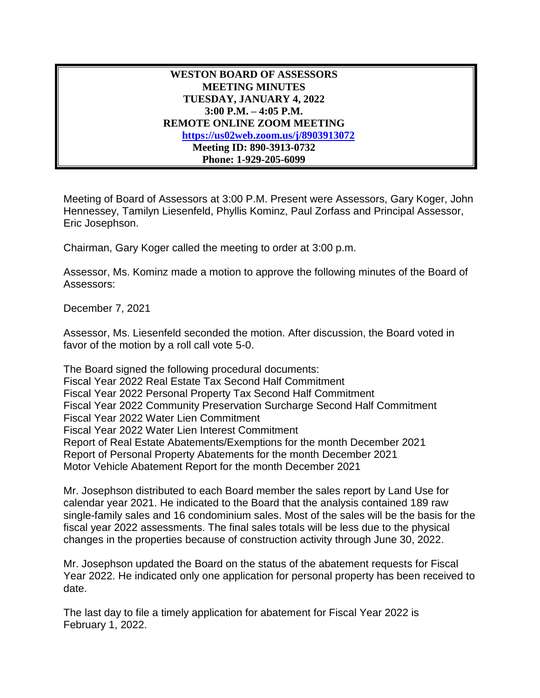## **WESTON BOARD OF ASSESSORS MEETING MINUTES TUESDAY, JANUARY 4, 2022 3:00 P.M. – 4:05 P.M. REMOTE ONLINE ZOOM MEETING [https://us02web.zoom.us/j/8903913072](https://us02web.zoom.us/j/89039130732) Meeting ID: 890-3913-0732 Phone: 1-929-205-6099**

Meeting of Board of Assessors at 3:00 P.M. Present were Assessors, Gary Koger, John Hennessey, Tamilyn Liesenfeld, Phyllis Kominz, Paul Zorfass and Principal Assessor, Eric Josephson.

Chairman, Gary Koger called the meeting to order at 3:00 p.m.

Assessor, Ms. Kominz made a motion to approve the following minutes of the Board of Assessors:

December 7, 2021

Assessor, Ms. Liesenfeld seconded the motion. After discussion, the Board voted in favor of the motion by a roll call vote 5-0.

The Board signed the following procedural documents: Fiscal Year 2022 Real Estate Tax Second Half Commitment Fiscal Year 2022 Personal Property Tax Second Half Commitment Fiscal Year 2022 Community Preservation Surcharge Second Half Commitment Fiscal Year 2022 Water Lien Commitment Fiscal Year 2022 Water Lien Interest Commitment Report of Real Estate Abatements/Exemptions for the month December 2021 Report of Personal Property Abatements for the month December 2021 Motor Vehicle Abatement Report for the month December 2021

Mr. Josephson distributed to each Board member the sales report by Land Use for calendar year 2021. He indicated to the Board that the analysis contained 189 raw single-family sales and 16 condominium sales. Most of the sales will be the basis for the fiscal year 2022 assessments. The final sales totals will be less due to the physical changes in the properties because of construction activity through June 30, 2022.

Mr. Josephson updated the Board on the status of the abatement requests for Fiscal Year 2022. He indicated only one application for personal property has been received to date.

The last day to file a timely application for abatement for Fiscal Year 2022 is February 1, 2022.